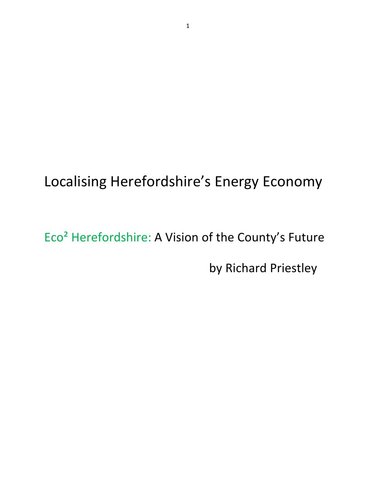# Localising Herefordshire's Energy Economy

Eco<sup>2</sup> Herefordshire: A Vision of the County's Future by Richard Priestley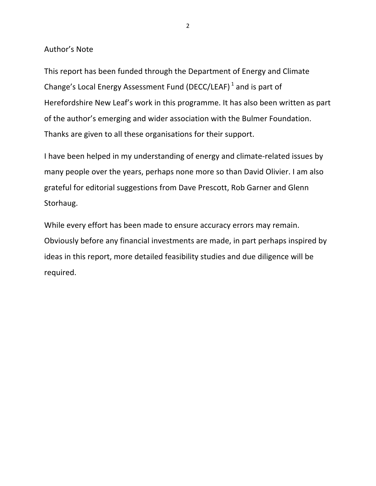Author's Note

This report has been funded through the Department of Energy and Climate Change's Local Energy Assessment Fund (DECC/LEAF)<sup>1</sup> and is part of Herefordshire New Leaf's work in this programme. It has also been written as part of the author's emerging and wider association with the Bulmer Foundation. Thanks are given to all these organisations for their support.

I have been helped in my understanding of energy and climate-related issues by many people over the years, perhaps none more so than David Olivier. I am also grateful for editorial suggestions from Dave Prescott, Rob Garner and Glenn Storhaug.

While every effort has been made to ensure accuracy errors may remain. Obviously before any financial investments are made, in part perhaps inspired by ideas in this report, more detailed feasibility studies and due diligence will be required.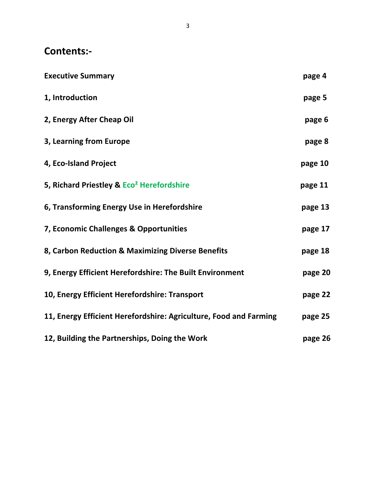# Contents:-

| <b>Executive Summary</b>                                          | page 4  |
|-------------------------------------------------------------------|---------|
| 1, Introduction                                                   | page 5  |
| 2, Energy After Cheap Oil                                         | page 6  |
| 3, Learning from Europe                                           | page 8  |
| 4, Eco-Island Project                                             | page 10 |
| 5, Richard Priestley & Eco <sup>2</sup> Herefordshire             | page 11 |
| 6, Transforming Energy Use in Herefordshire                       | page 13 |
| 7, Economic Challenges & Opportunities                            | page 17 |
| 8, Carbon Reduction & Maximizing Diverse Benefits                 | page 18 |
| 9, Energy Efficient Herefordshire: The Built Environment          | page 20 |
| 10, Energy Efficient Herefordshire: Transport                     | page 22 |
| 11, Energy Efficient Herefordshire: Agriculture, Food and Farming | page 25 |
| 12, Building the Partnerships, Doing the Work                     | page 26 |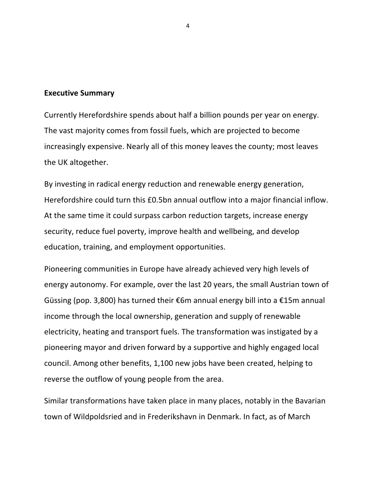#### **Executive Summary**

Currently Herefordshire spends about half a billion pounds per year on energy. The vast majority comes from fossil fuels, which are projected to become increasingly expensive. Nearly all of this money leaves the county; most leaves the UK altogether.

By investing in radical energy reduction and renewable energy generation, Herefordshire could turn this £0.5bn annual outflow into a major financial inflow. At the same time it could surpass carbon reduction targets, increase energy security, reduce fuel poverty, improve health and wellbeing, and develop education, training, and employment opportunities.

Pioneering communities in Europe have already achieved very high levels of energy autonomy. For example, over the last 20 years, the small Austrian town of Güssing (pop. 3,800) has turned their  $\epsilon$ 6m annual energy bill into a  $\epsilon$ 15m annual income through the local ownership, generation and supply of renewable electricity, heating and transport fuels. The transformation was instigated by a pioneering mayor and driven forward by a supportive and highly engaged local council. Among other benefits, 1,100 new jobs have been created, helping to reverse the outflow of young people from the area.

Similar transformations have taken place in many places, notably in the Bavarian town of Wildpoldsried and in Frederikshavn in Denmark. In fact, as of March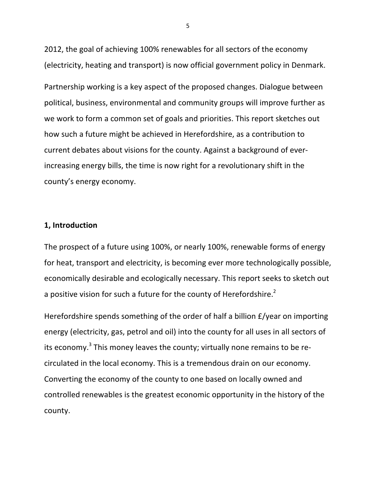2012, the goal of achieving 100% renewables for all sectors of the economy (electricity, heating and transport) is now official government policy in Denmark.

Partnership working is a key aspect of the proposed changes. Dialogue between political, business, environmental and community groups will improve further as we work to form a common set of goals and priorities. This report sketches out how such a future might be achieved in Herefordshire, as a contribution to current debates about visions for the county. Against a background of everincreasing energy bills, the time is now right for a revolutionary shift in the county's energy economy.

# **1, Introduction**

The prospect of a future using 100%, or nearly 100%, renewable forms of energy for heat, transport and electricity, is becoming ever more technologically possible, economically desirable and ecologically necessary. This report seeks to sketch out a positive vision for such a future for the county of Herefordshire.<sup>2</sup>

Herefordshire spends something of the order of half a billion  $E$ /year on importing energy (electricity, gas, petrol and oil) into the county for all uses in all sectors of its economy.<sup>3</sup> This money leaves the county; virtually none remains to be recirculated in the local economy. This is a tremendous drain on our economy. Converting the economy of the county to one based on locally owned and controlled renewables is the greatest economic opportunity in the history of the county.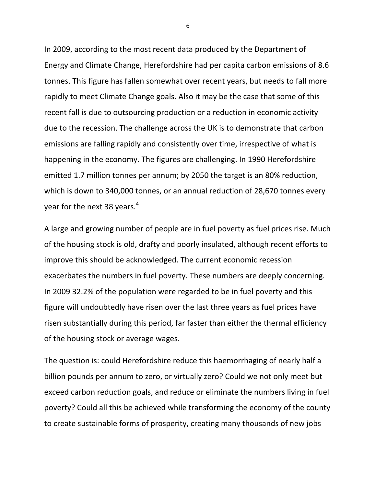In 2009, according to the most recent data produced by the Department of Energy and Climate Change, Herefordshire had per capita carbon emissions of 8.6 tonnes. This figure has fallen somewhat over recent years, but needs to fall more rapidly to meet Climate Change goals. Also it may be the case that some of this recent fall is due to outsourcing production or a reduction in economic activity due to the recession. The challenge across the UK is to demonstrate that carbon emissions are falling rapidly and consistently over time, irrespective of what is happening in the economy. The figures are challenging. In 1990 Herefordshire emitted 1.7 million tonnes per annum; by 2050 the target is an 80% reduction, which is down to 340,000 tonnes, or an annual reduction of 28,670 tonnes every vear for the next 38 years.<sup>4</sup>

A large and growing number of people are in fuel poverty as fuel prices rise. Much of the housing stock is old, drafty and poorly insulated, although recent efforts to improve this should be acknowledged. The current economic recession exacerbates the numbers in fuel poverty. These numbers are deeply concerning. In 2009 32.2% of the population were regarded to be in fuel poverty and this figure will undoubtedly have risen over the last three years as fuel prices have risen substantially during this period, far faster than either the thermal efficiency of the housing stock or average wages.

The question is: could Herefordshire reduce this haemorrhaging of nearly half a billion pounds per annum to zero, or virtually zero? Could we not only meet but exceed carbon reduction goals, and reduce or eliminate the numbers living in fuel poverty? Could all this be achieved while transforming the economy of the county to create sustainable forms of prosperity, creating many thousands of new jobs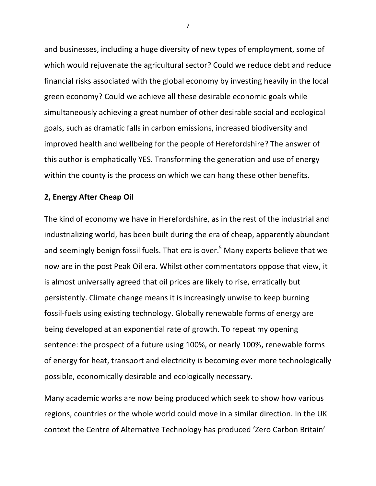and businesses, including a huge diversity of new types of employment, some of which would rejuvenate the agricultural sector? Could we reduce debt and reduce financial risks associated with the global economy by investing heavily in the local green economy? Could we achieve all these desirable economic goals while simultaneously achieving a great number of other desirable social and ecological goals, such as dramatic falls in carbon emissions, increased biodiversity and improved health and wellbeing for the people of Herefordshire? The answer of this author is emphatically YES. Transforming the generation and use of energy within the county is the process on which we can hang these other benefits.

# **2, Energy After Cheap Oil**

The kind of economy we have in Herefordshire, as in the rest of the industrial and industrializing world, has been built during the era of cheap, apparently abundant and seemingly benign fossil fuels. That era is over.<sup>5</sup> Many experts believe that we now are in the post Peak Oil era. Whilst other commentators oppose that view, it is almost universally agreed that oil prices are likely to rise, erratically but persistently. Climate change means it is increasingly unwise to keep burning fossil-fuels using existing technology. Globally renewable forms of energy are being developed at an exponential rate of growth. To repeat my opening sentence: the prospect of a future using 100%, or nearly 100%, renewable forms of energy for heat, transport and electricity is becoming ever more technologically possible, economically desirable and ecologically necessary.

Many academic works are now being produced which seek to show how various regions, countries or the whole world could move in a similar direction. In the UK context the Centre of Alternative Technology has produced 'Zero Carbon Britain'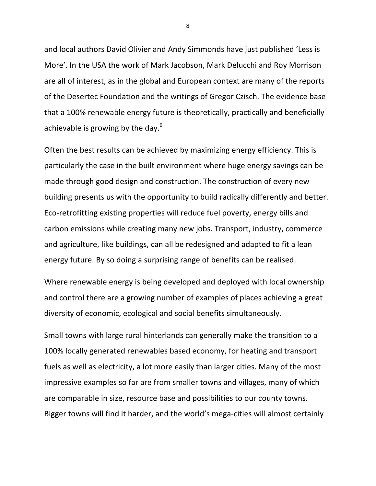and local authors David Olivier and Andy Simmonds have just published 'Less is More'. In the USA the work of Mark Jacobson, Mark Delucchi and Roy Morrison are all of interest, as in the global and European context are many of the reports of the Desertec Foundation and the writings of Gregor Czisch. The evidence base that a 100% renewable energy future is theoretically, practically and beneficially achievable is growing by the day. $6$ 

Often the best results can be achieved by maximizing energy efficiency. This is particularly the case in the built environment where huge energy savings can be made through good design and construction. The construction of every new building presents us with the opportunity to build radically differently and better. Eco-retrofitting existing properties will reduce fuel poverty, energy bills and carbon emissions while creating many new jobs. Transport, industry, commerce and agriculture, like buildings, can all be redesigned and adapted to fit a lean energy future. By so doing a surprising range of benefits can be realised.

Where renewable energy is being developed and deployed with local ownership and control there are a growing number of examples of places achieving a great diversity of economic, ecological and social benefits simultaneously.

Small towns with large rural hinterlands can generally make the transition to a 100% locally generated renewables based economy, for heating and transport fuels as well as electricity, a lot more easily than larger cities. Many of the most impressive examples so far are from smaller towns and villages, many of which are comparable in size, resource base and possibilities to our county towns. Bigger towns will find it harder, and the world's mega-cities will almost certainly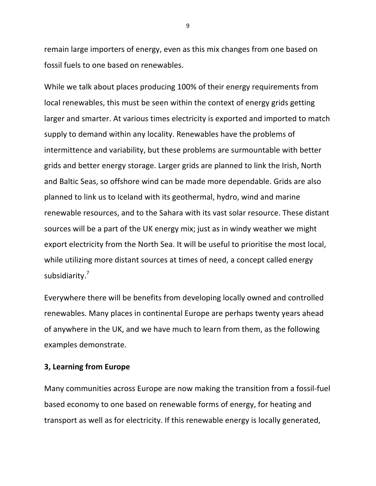remain large importers of energy, even as this mix changes from one based on fossil fuels to one based on renewables.

While we talk about places producing 100% of their energy requirements from local renewables, this must be seen within the context of energy grids getting larger and smarter. At various times electricity is exported and imported to match supply to demand within any locality. Renewables have the problems of intermittence and variability, but these problems are surmountable with better grids and better energy storage. Larger grids are planned to link the Irish, North and Baltic Seas, so offshore wind can be made more dependable. Grids are also planned to link us to Iceland with its geothermal, hydro, wind and marine renewable resources, and to the Sahara with its vast solar resource. These distant sources will be a part of the UK energy mix; just as in windy weather we might export electricity from the North Sea. It will be useful to prioritise the most local, while utilizing more distant sources at times of need, a concept called energy subsidiarity.<sup>7</sup>

Everywhere there will be benefits from developing locally owned and controlled renewables. Many places in continental Europe are perhaps twenty years ahead of anywhere in the UK, and we have much to learn from them, as the following examples demonstrate.

# **3, Learning from Europe**

Many communities across Europe are now making the transition from a fossil-fuel based economy to one based on renewable forms of energy, for heating and transport as well as for electricity. If this renewable energy is locally generated,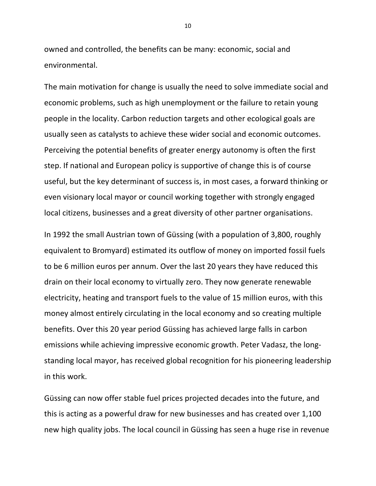owned and controlled, the benefits can be many: economic, social and environmental.

The main motivation for change is usually the need to solve immediate social and economic problems, such as high unemployment or the failure to retain young people in the locality. Carbon reduction targets and other ecological goals are usually seen as catalysts to achieve these wider social and economic outcomes. Perceiving the potential benefits of greater energy autonomy is often the first step. If national and European policy is supportive of change this is of course useful, but the key determinant of success is, in most cases, a forward thinking or even visionary local mayor or council working together with strongly engaged local citizens, businesses and a great diversity of other partner organisations.

In 1992 the small Austrian town of Güssing (with a population of 3,800, roughly equivalent to Bromyard) estimated its outflow of money on imported fossil fuels to be 6 million euros per annum. Over the last 20 years they have reduced this drain on their local economy to virtually zero. They now generate renewable electricity, heating and transport fuels to the value of 15 million euros, with this money almost entirely circulating in the local economy and so creating multiple benefits. Over this 20 year period Güssing has achieved large falls in carbon emissions while achieving impressive economic growth. Peter Vadasz, the longstanding local mayor, has received global recognition for his pioneering leadership in this work.

Güssing can now offer stable fuel prices projected decades into the future, and this is acting as a powerful draw for new businesses and has created over 1,100 new high quality jobs. The local council in Güssing has seen a huge rise in revenue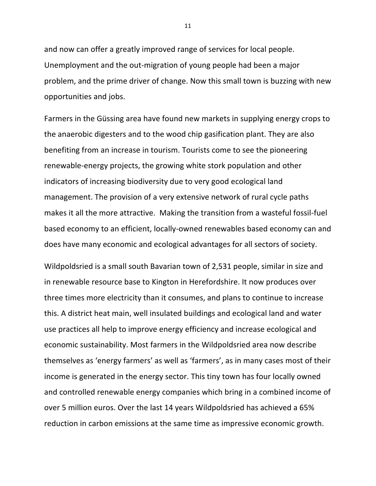and now can offer a greatly improved range of services for local people. Unemployment and the out-migration of young people had been a major problem, and the prime driver of change. Now this small town is buzzing with new opportunities and jobs.

Farmers in the Güssing area have found new markets in supplying energy crops to the anaerobic digesters and to the wood chip gasification plant. They are also benefiting from an increase in tourism. Tourists come to see the pioneering renewable-energy projects, the growing white stork population and other indicators of increasing biodiversity due to very good ecological land management. The provision of a very extensive network of rural cycle paths makes it all the more attractive. Making the transition from a wasteful fossil-fuel based economy to an efficient, locally-owned renewables based economy can and does have many economic and ecological advantages for all sectors of society.

Wildpoldsried is a small south Bavarian town of 2,531 people, similar in size and in renewable resource base to Kington in Herefordshire. It now produces over three times more electricity than it consumes, and plans to continue to increase this. A district heat main, well insulated buildings and ecological land and water use practices all help to improve energy efficiency and increase ecological and economic sustainability. Most farmers in the Wildpoldsried area now describe themselves as 'energy farmers' as well as 'farmers', as in many cases most of their income is generated in the energy sector. This tiny town has four locally owned and controlled renewable energy companies which bring in a combined income of over 5 million euros. Over the last 14 years Wildpoldsried has achieved a 65% reduction in carbon emissions at the same time as impressive economic growth.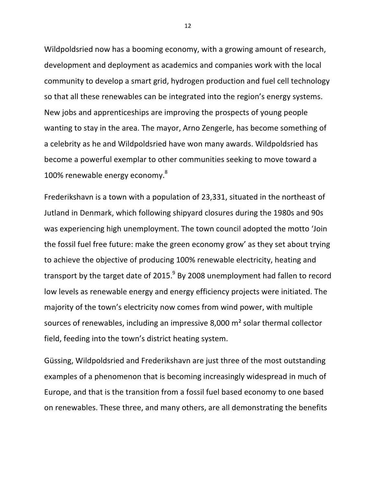Wildpoldsried now has a booming economy, with a growing amount of research, development and deployment as academics and companies work with the local community to develop a smart grid, hydrogen production and fuel cell technology so that all these renewables can be integrated into the region's energy systems. New jobs and apprenticeships are improving the prospects of young people wanting to stay in the area. The mayor, Arno Zengerle, has become something of a celebrity as he and Wildpoldsried have won many awards. Wildpoldsried has become a powerful exemplar to other communities seeking to move toward a 100% renewable energy economy.<sup>8</sup>

Frederikshavn is a town with a population of 23,331, situated in the northeast of Jutland in Denmark, which following shipyard closures during the 1980s and 90s was experiencing high unemployment. The town council adopted the motto 'Join the fossil fuel free future: make the green economy grow' as they set about trying to achieve the objective of producing 100% renewable electricity, heating and transport by the target date of 2015. $^9$  By 2008 unemployment had fallen to record low levels as renewable energy and energy efficiency projects were initiated. The majority of the town's electricity now comes from wind power, with multiple sources of renewables, including an impressive 8,000 m<sup>2</sup> solar thermal collector field, feeding into the town's district heating system.

Güssing, Wildpoldsried and Frederikshavn are just three of the most outstanding examples of a phenomenon that is becoming increasingly widespread in much of Europe, and that is the transition from a fossil fuel based economy to one based on renewables. These three, and many others, are all demonstrating the benefits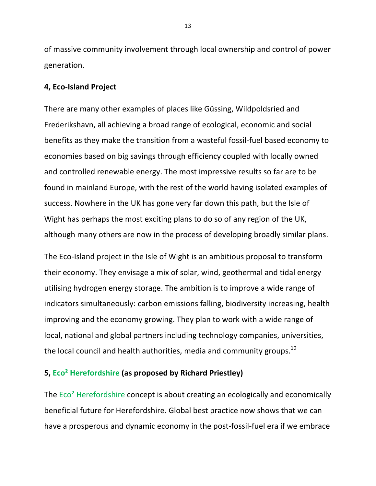of massive community involvement through local ownership and control of power generation. 

# **4, Eco-Island Project**

There are many other examples of places like Güssing, Wildpoldsried and Frederikshavn, all achieving a broad range of ecological, economic and social benefits as they make the transition from a wasteful fossil-fuel based economy to economies based on big savings through efficiency coupled with locally owned and controlled renewable energy. The most impressive results so far are to be found in mainland Europe, with the rest of the world having isolated examples of success. Nowhere in the UK has gone very far down this path, but the Isle of Wight has perhaps the most exciting plans to do so of any region of the UK, although many others are now in the process of developing broadly similar plans.

The Eco-Island project in the Isle of Wight is an ambitious proposal to transform their economy. They envisage a mix of solar, wind, geothermal and tidal energy utilising hydrogen energy storage. The ambition is to improve a wide range of indicators simultaneously: carbon emissions falling, biodiversity increasing, health improving and the economy growing. They plan to work with a wide range of local, national and global partners including technology companies, universities, the local council and health authorities, media and community groups.<sup>10</sup>

# **5, Eco<sup>2</sup> Herefordshire (as proposed by Richard Priestley)**

The Eco<sup>2</sup> Herefordshire concept is about creating an ecologically and economically beneficial future for Herefordshire. Global best practice now shows that we can have a prosperous and dynamic economy in the post-fossil-fuel era if we embrace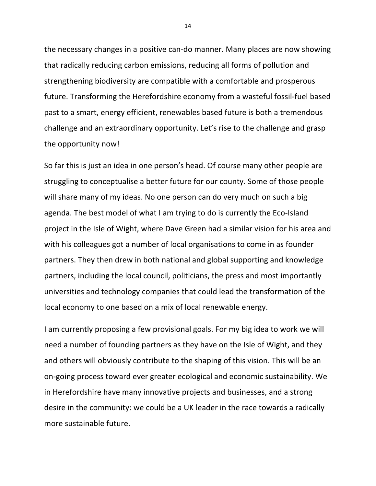the necessary changes in a positive can-do manner. Many places are now showing that radically reducing carbon emissions, reducing all forms of pollution and strengthening biodiversity are compatible with a comfortable and prosperous future. Transforming the Herefordshire economy from a wasteful fossil-fuel based past to a smart, energy efficient, renewables based future is both a tremendous challenge and an extraordinary opportunity. Let's rise to the challenge and grasp the opportunity now!

So far this is just an idea in one person's head. Of course many other people are struggling to conceptualise a better future for our county. Some of those people will share many of my ideas. No one person can do very much on such a big agenda. The best model of what I am trying to do is currently the Eco-Island project in the Isle of Wight, where Dave Green had a similar vision for his area and with his colleagues got a number of local organisations to come in as founder partners. They then drew in both national and global supporting and knowledge partners, including the local council, politicians, the press and most importantly universities and technology companies that could lead the transformation of the local economy to one based on a mix of local renewable energy.

I am currently proposing a few provisional goals. For my big idea to work we will need a number of founding partners as they have on the Isle of Wight, and they and others will obviously contribute to the shaping of this vision. This will be an on-going process toward ever greater ecological and economic sustainability. We in Herefordshire have many innovative projects and businesses, and a strong desire in the community: we could be a UK leader in the race towards a radically more sustainable future.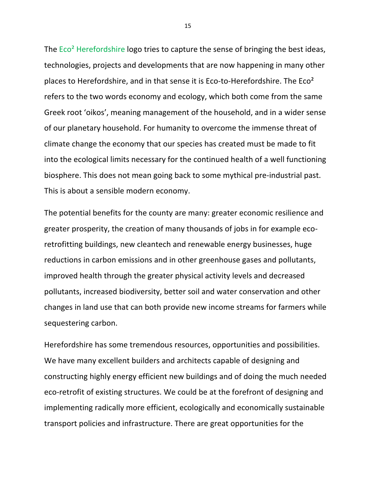The  $Eco<sup>2</sup>$  Herefordshire logo tries to capture the sense of bringing the best ideas, technologies, projects and developments that are now happening in many other places to Herefordshire, and in that sense it is Eco-to-Herefordshire. The  $Eco<sup>2</sup>$ refers to the two words economy and ecology, which both come from the same Greek root 'oikos', meaning management of the household, and in a wider sense of our planetary household. For humanity to overcome the immense threat of climate change the economy that our species has created must be made to fit into the ecological limits necessary for the continued health of a well functioning biosphere. This does not mean going back to some mythical pre-industrial past. This is about a sensible modern economy.

The potential benefits for the county are many: greater economic resilience and greater prosperity, the creation of many thousands of jobs in for example ecoretrofitting buildings, new cleantech and renewable energy businesses, huge reductions in carbon emissions and in other greenhouse gases and pollutants, improved health through the greater physical activity levels and decreased pollutants, increased biodiversity, better soil and water conservation and other changes in land use that can both provide new income streams for farmers while sequestering carbon.

Herefordshire has some tremendous resources, opportunities and possibilities. We have many excellent builders and architects capable of designing and constructing highly energy efficient new buildings and of doing the much needed eco-retrofit of existing structures. We could be at the forefront of designing and implementing radically more efficient, ecologically and economically sustainable transport policies and infrastructure. There are great opportunities for the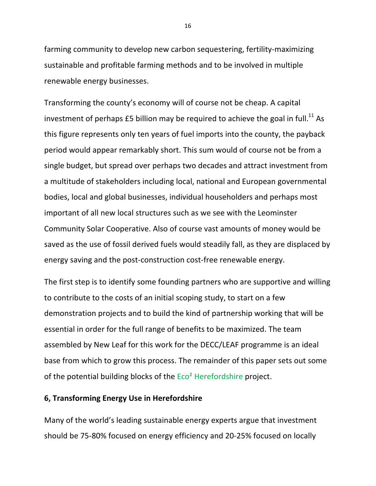farming community to develop new carbon sequestering, fertility-maximizing sustainable and profitable farming methods and to be involved in multiple renewable energy businesses.

Transforming the county's economy will of course not be cheap. A capital investment of perhaps  $£5$  billion may be required to achieve the goal in full.<sup>11</sup> As this figure represents only ten years of fuel imports into the county, the payback period would appear remarkably short. This sum would of course not be from a single budget, but spread over perhaps two decades and attract investment from a multitude of stakeholders including local, national and European governmental bodies, local and global businesses, individual householders and perhaps most important of all new local structures such as we see with the Leominster Community Solar Cooperative. Also of course vast amounts of money would be saved as the use of fossil derived fuels would steadily fall, as they are displaced by energy saving and the post-construction cost-free renewable energy.

The first step is to identify some founding partners who are supportive and willing to contribute to the costs of an initial scoping study, to start on a few demonstration projects and to build the kind of partnership working that will be essential in order for the full range of benefits to be maximized. The team assembled by New Leaf for this work for the DECC/LEAF programme is an ideal base from which to grow this process. The remainder of this paper sets out some of the potential building blocks of the  $Eco<sup>2</sup>$  Herefordshire project.

# **6, Transforming Energy Use in Herefordshire**

Many of the world's leading sustainable energy experts argue that investment should be 75-80% focused on energy efficiency and 20-25% focused on locally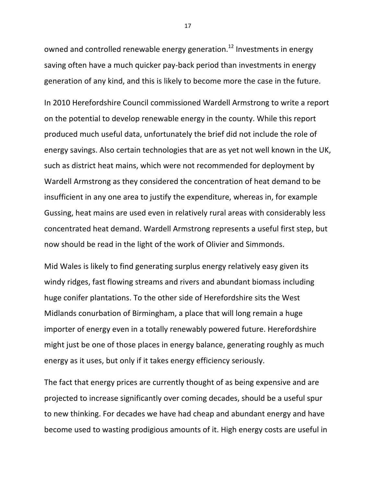owned and controlled renewable energy generation.<sup>12</sup> Investments in energy saving often have a much quicker pay-back period than investments in energy generation of any kind, and this is likely to become more the case in the future.

In 2010 Herefordshire Council commissioned Wardell Armstrong to write a report on the potential to develop renewable energy in the county. While this report produced much useful data, unfortunately the brief did not include the role of energy savings. Also certain technologies that are as yet not well known in the UK, such as district heat mains, which were not recommended for deployment by Wardell Armstrong as they considered the concentration of heat demand to be insufficient in any one area to justify the expenditure, whereas in, for example Gussing, heat mains are used even in relatively rural areas with considerably less concentrated heat demand. Wardell Armstrong represents a useful first step, but now should be read in the light of the work of Olivier and Simmonds.

Mid Wales is likely to find generating surplus energy relatively easy given its windy ridges, fast flowing streams and rivers and abundant biomass including huge conifer plantations. To the other side of Herefordshire sits the West Midlands conurbation of Birmingham, a place that will long remain a huge importer of energy even in a totally renewably powered future. Herefordshire might just be one of those places in energy balance, generating roughly as much energy as it uses, but only if it takes energy efficiency seriously.

The fact that energy prices are currently thought of as being expensive and are projected to increase significantly over coming decades, should be a useful spur to new thinking. For decades we have had cheap and abundant energy and have become used to wasting prodigious amounts of it. High energy costs are useful in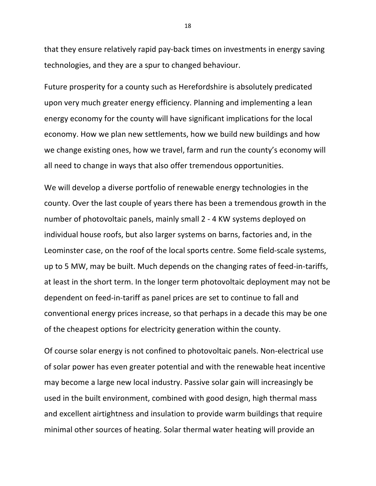that they ensure relatively rapid pay-back times on investments in energy saving technologies, and they are a spur to changed behaviour.

Future prosperity for a county such as Herefordshire is absolutely predicated upon very much greater energy efficiency. Planning and implementing a lean energy economy for the county will have significant implications for the local economy. How we plan new settlements, how we build new buildings and how we change existing ones, how we travel, farm and run the county's economy will all need to change in ways that also offer tremendous opportunities.

We will develop a diverse portfolio of renewable energy technologies in the county. Over the last couple of years there has been a tremendous growth in the number of photovoltaic panels, mainly small 2 - 4 KW systems deployed on individual house roofs, but also larger systems on barns, factories and, in the Leominster case, on the roof of the local sports centre. Some field-scale systems, up to 5 MW, may be built. Much depends on the changing rates of feed-in-tariffs, at least in the short term. In the longer term photovoltaic deployment may not be dependent on feed-in-tariff as panel prices are set to continue to fall and conventional energy prices increase, so that perhaps in a decade this may be one of the cheapest options for electricity generation within the county.

Of course solar energy is not confined to photovoltaic panels. Non-electrical use of solar power has even greater potential and with the renewable heat incentive may become a large new local industry. Passive solar gain will increasingly be used in the built environment, combined with good design, high thermal mass and excellent airtightness and insulation to provide warm buildings that require minimal other sources of heating. Solar thermal water heating will provide an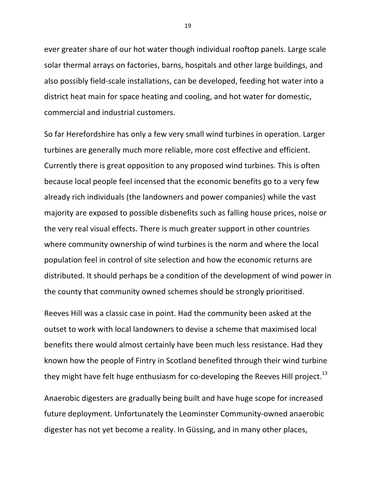ever greater share of our hot water though individual rooftop panels. Large scale solar thermal arrays on factories, barns, hospitals and other large buildings, and also possibly field-scale installations, can be developed, feeding hot water into a district heat main for space heating and cooling, and hot water for domestic, commercial and industrial customers.

So far Herefordshire has only a few very small wind turbines in operation. Larger turbines are generally much more reliable, more cost effective and efficient. Currently there is great opposition to any proposed wind turbines. This is often because local people feel incensed that the economic benefits go to a very few already rich individuals (the landowners and power companies) while the vast majority are exposed to possible disbenefits such as falling house prices, noise or the very real visual effects. There is much greater support in other countries where community ownership of wind turbines is the norm and where the local population feel in control of site selection and how the economic returns are distributed. It should perhaps be a condition of the development of wind power in the county that community owned schemes should be strongly prioritised.

Reeves Hill was a classic case in point. Had the community been asked at the outset to work with local landowners to devise a scheme that maximised local benefits there would almost certainly have been much less resistance. Had they known how the people of Fintry in Scotland benefited through their wind turbine they might have felt huge enthusiasm for co-developing the Reeves Hill project.<sup>13</sup>

Anaerobic digesters are gradually being built and have huge scope for increased future deployment. Unfortunately the Leominster Community-owned anaerobic digester has not yet become a reality. In Güssing, and in many other places,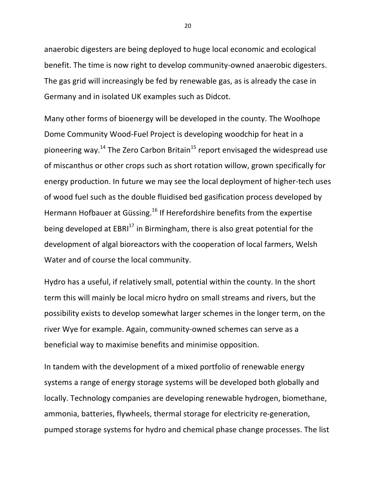anaerobic digesters are being deployed to huge local economic and ecological benefit. The time is now right to develop community-owned anaerobic digesters. The gas grid will increasingly be fed by renewable gas, as is already the case in Germany and in isolated UK examples such as Didcot.

Many other forms of bioenergy will be developed in the county. The Woolhope Dome Community Wood-Fuel Project is developing woodchip for heat in a pioneering way.<sup>14</sup> The Zero Carbon Britain<sup>15</sup> report envisaged the widespread use of miscanthus or other crops such as short rotation willow, grown specifically for energy production. In future we may see the local deployment of higher-tech uses of wood fuel such as the double fluidised bed gasification process developed by Hermann Hofbauer at Güssing.<sup>16</sup> If Herefordshire benefits from the expertise being developed at  $EBRI<sup>17</sup>$  in Birmingham, there is also great potential for the development of algal bioreactors with the cooperation of local farmers, Welsh Water and of course the local community.

Hydro has a useful, if relatively small, potential within the county. In the short term this will mainly be local micro hydro on small streams and rivers, but the possibility exists to develop somewhat larger schemes in the longer term, on the river Wye for example. Again, community-owned schemes can serve as a beneficial way to maximise benefits and minimise opposition.

In tandem with the development of a mixed portfolio of renewable energy systems a range of energy storage systems will be developed both globally and locally. Technology companies are developing renewable hydrogen, biomethane, ammonia, batteries, flywheels, thermal storage for electricity re-generation, pumped storage systems for hydro and chemical phase change processes. The list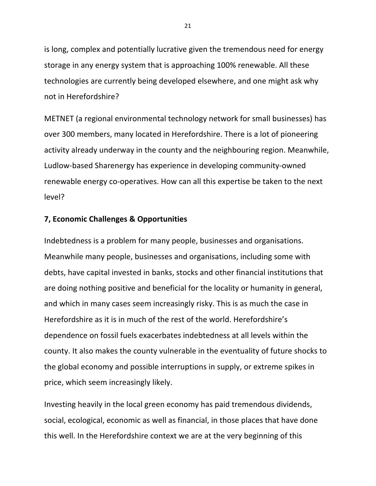is long, complex and potentially lucrative given the tremendous need for energy storage in any energy system that is approaching 100% renewable. All these technologies are currently being developed elsewhere, and one might ask why not in Herefordshire?

METNET (a regional environmental technology network for small businesses) has over 300 members, many located in Herefordshire. There is a lot of pioneering activity already underway in the county and the neighbouring region. Meanwhile, Ludlow-based Sharenergy has experience in developing community-owned renewable energy co-operatives. How can all this expertise be taken to the next level?

# **7, Economic Challenges & Opportunities**

Indebtedness is a problem for many people, businesses and organisations. Meanwhile many people, businesses and organisations, including some with debts, have capital invested in banks, stocks and other financial institutions that are doing nothing positive and beneficial for the locality or humanity in general, and which in many cases seem increasingly risky. This is as much the case in Herefordshire as it is in much of the rest of the world. Herefordshire's dependence on fossil fuels exacerbates indebtedness at all levels within the county. It also makes the county vulnerable in the eventuality of future shocks to the global economy and possible interruptions in supply, or extreme spikes in price, which seem increasingly likely.

Investing heavily in the local green economy has paid tremendous dividends, social, ecological, economic as well as financial, in those places that have done this well. In the Herefordshire context we are at the very beginning of this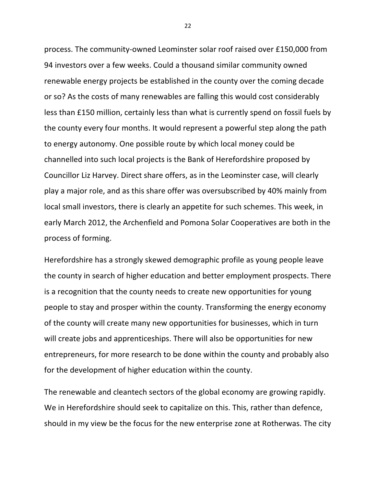process. The community-owned Leominster solar roof raised over £150,000 from 94 investors over a few weeks. Could a thousand similar community owned renewable energy projects be established in the county over the coming decade or so? As the costs of many renewables are falling this would cost considerably less than £150 million, certainly less than what is currently spend on fossil fuels by the county every four months. It would represent a powerful step along the path to energy autonomy. One possible route by which local money could be channelled into such local projects is the Bank of Herefordshire proposed by Councillor Liz Harvey. Direct share offers, as in the Leominster case, will clearly play a major role, and as this share offer was oversubscribed by 40% mainly from local small investors, there is clearly an appetite for such schemes. This week, in early March 2012, the Archenfield and Pomona Solar Cooperatives are both in the process of forming.

Herefordshire has a strongly skewed demographic profile as young people leave the county in search of higher education and better employment prospects. There is a recognition that the county needs to create new opportunities for young people to stay and prosper within the county. Transforming the energy economy of the county will create many new opportunities for businesses, which in turn will create jobs and apprenticeships. There will also be opportunities for new entrepreneurs, for more research to be done within the county and probably also for the development of higher education within the county.

The renewable and cleantech sectors of the global economy are growing rapidly. We in Herefordshire should seek to capitalize on this. This, rather than defence, should in my view be the focus for the new enterprise zone at Rotherwas. The city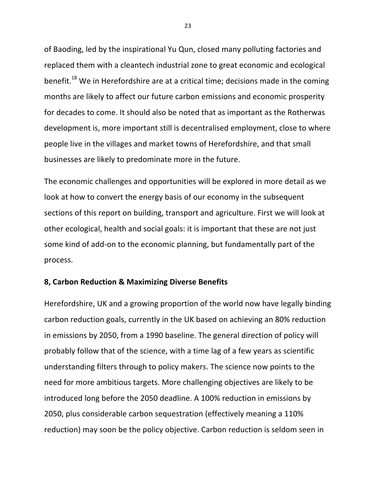of Baoding, led by the inspirational Yu Qun, closed many polluting factories and replaced them with a cleantech industrial zone to great economic and ecological benefit.<sup>18</sup> We in Herefordshire are at a critical time; decisions made in the coming months are likely to affect our future carbon emissions and economic prosperity for decades to come. It should also be noted that as important as the Rotherwas development is, more important still is decentralised employment, close to where people live in the villages and market towns of Herefordshire, and that small businesses are likely to predominate more in the future.

The economic challenges and opportunities will be explored in more detail as we look at how to convert the energy basis of our economy in the subsequent sections of this report on building, transport and agriculture. First we will look at other ecological, health and social goals: it is important that these are not just some kind of add-on to the economic planning, but fundamentally part of the process.

# **8, Carbon Reduction & Maximizing Diverse Benefits**

Herefordshire, UK and a growing proportion of the world now have legally binding carbon reduction goals, currently in the UK based on achieving an 80% reduction in emissions by 2050, from a 1990 baseline. The general direction of policy will probably follow that of the science, with a time lag of a few years as scientific understanding filters through to policy makers. The science now points to the need for more ambitious targets. More challenging objectives are likely to be introduced long before the 2050 deadline. A 100% reduction in emissions by 2050, plus considerable carbon sequestration (effectively meaning a 110% reduction) may soon be the policy objective. Carbon reduction is seldom seen in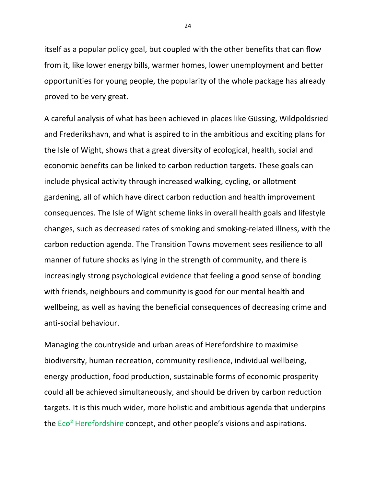itself as a popular policy goal, but coupled with the other benefits that can flow from it, like lower energy bills, warmer homes, lower unemployment and better opportunities for young people, the popularity of the whole package has already proved to be very great.

A careful analysis of what has been achieved in places like Güssing, Wildpoldsried and Frederikshavn, and what is aspired to in the ambitious and exciting plans for the Isle of Wight, shows that a great diversity of ecological, health, social and economic benefits can be linked to carbon reduction targets. These goals can include physical activity through increased walking, cycling, or allotment gardening, all of which have direct carbon reduction and health improvement consequences. The Isle of Wight scheme links in overall health goals and lifestyle changes, such as decreased rates of smoking and smoking-related illness, with the carbon reduction agenda. The Transition Towns movement sees resilience to all manner of future shocks as lying in the strength of community, and there is increasingly strong psychological evidence that feeling a good sense of bonding with friends, neighbours and community is good for our mental health and wellbeing, as well as having the beneficial consequences of decreasing crime and anti-social behaviour.

Managing the countryside and urban areas of Herefordshire to maximise biodiversity, human recreation, community resilience, individual wellbeing, energy production, food production, sustainable forms of economic prosperity could all be achieved simultaneously, and should be driven by carbon reduction targets. It is this much wider, more holistic and ambitious agenda that underpins the  $Eco<sup>2</sup>$  Herefordshire concept, and other people's visions and aspirations.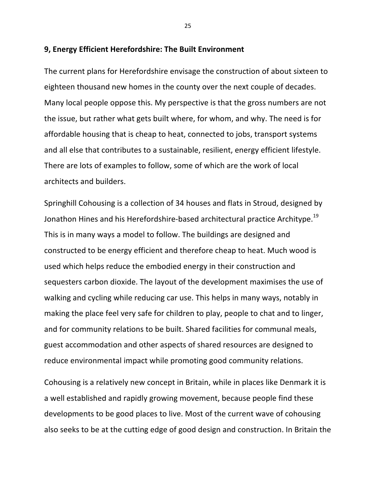#### **9, Energy Efficient Herefordshire: The Built Environment**

The current plans for Herefordshire envisage the construction of about sixteen to eighteen thousand new homes in the county over the next couple of decades. Many local people oppose this. My perspective is that the gross numbers are not the issue, but rather what gets built where, for whom, and why. The need is for affordable housing that is cheap to heat, connected to jobs, transport systems and all else that contributes to a sustainable, resilient, energy efficient lifestyle. There are lots of examples to follow, some of which are the work of local architects and builders.

Springhill Cohousing is a collection of 34 houses and flats in Stroud, designed by Jonathon Hines and his Herefordshire-based architectural practice Architype.<sup>19</sup> This is in many ways a model to follow. The buildings are designed and constructed to be energy efficient and therefore cheap to heat. Much wood is used which helps reduce the embodied energy in their construction and sequesters carbon dioxide. The layout of the development maximises the use of walking and cycling while reducing car use. This helps in many ways, notably in making the place feel very safe for children to play, people to chat and to linger, and for community relations to be built. Shared facilities for communal meals, guest accommodation and other aspects of shared resources are designed to reduce environmental impact while promoting good community relations.

Cohousing is a relatively new concept in Britain, while in places like Denmark it is a well established and rapidly growing movement, because people find these developments to be good places to live. Most of the current wave of cohousing also seeks to be at the cutting edge of good design and construction. In Britain the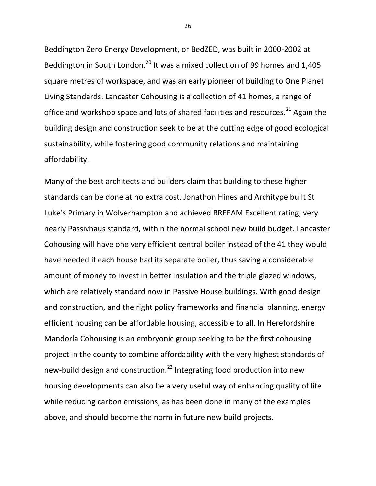Beddington Zero Energy Development, or BedZED, was built in 2000-2002 at Beddington in South London.<sup>20</sup> It was a mixed collection of 99 homes and 1,405 square metres of workspace, and was an early pioneer of building to One Planet Living Standards. Lancaster Cohousing is a collection of 41 homes, a range of office and workshop space and lots of shared facilities and resources.<sup>21</sup> Again the building design and construction seek to be at the cutting edge of good ecological sustainability, while fostering good community relations and maintaining affordability.

Many of the best architects and builders claim that building to these higher standards can be done at no extra cost. Jonathon Hines and Architype built St Luke's Primary in Wolverhampton and achieved BREEAM Excellent rating, very nearly Passivhaus standard, within the normal school new build budget. Lancaster Cohousing will have one very efficient central boiler instead of the 41 they would have needed if each house had its separate boiler, thus saving a considerable amount of money to invest in better insulation and the triple glazed windows, which are relatively standard now in Passive House buildings. With good design and construction, and the right policy frameworks and financial planning, energy efficient housing can be affordable housing, accessible to all. In Herefordshire Mandorla Cohousing is an embryonic group seeking to be the first cohousing project in the county to combine affordability with the very highest standards of new-build design and construction.<sup>22</sup> Integrating food production into new housing developments can also be a very useful way of enhancing quality of life while reducing carbon emissions, as has been done in many of the examples above, and should become the norm in future new build projects.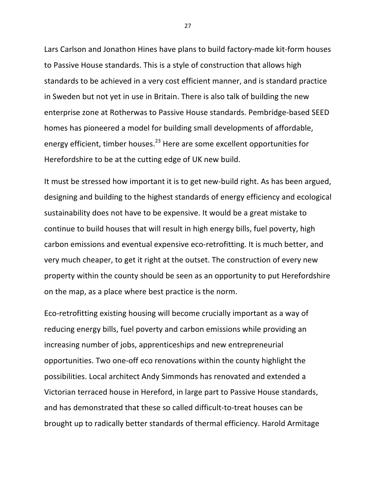Lars Carlson and Jonathon Hines have plans to build factory-made kit-form houses to Passive House standards. This is a style of construction that allows high standards to be achieved in a very cost efficient manner, and is standard practice in Sweden but not yet in use in Britain. There is also talk of building the new enterprise zone at Rotherwas to Passive House standards. Pembridge-based SEED homes has pioneered a model for building small developments of affordable, energy efficient, timber houses. $^{23}$  Here are some excellent opportunities for Herefordshire to be at the cutting edge of UK new build.

It must be stressed how important it is to get new-build right. As has been argued, designing and building to the highest standards of energy efficiency and ecological sustainability does not have to be expensive. It would be a great mistake to continue to build houses that will result in high energy bills, fuel poverty, high carbon emissions and eventual expensive eco-retrofitting. It is much better, and very much cheaper, to get it right at the outset. The construction of every new property within the county should be seen as an opportunity to put Herefordshire on the map, as a place where best practice is the norm.

Eco-retrofitting existing housing will become crucially important as a way of reducing energy bills, fuel poverty and carbon emissions while providing an increasing number of jobs, apprenticeships and new entrepreneurial opportunities. Two one-off eco renovations within the county highlight the possibilities. Local architect Andy Simmonds has renovated and extended a Victorian terraced house in Hereford, in large part to Passive House standards, and has demonstrated that these so called difficult-to-treat houses can be brought up to radically better standards of thermal efficiency. Harold Armitage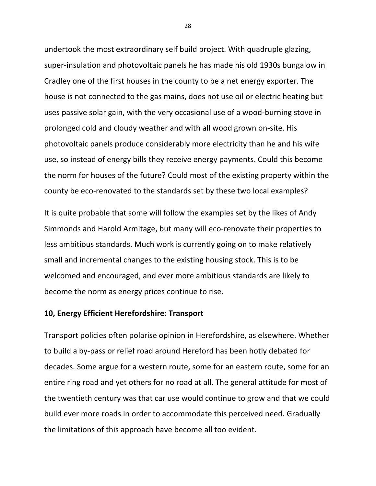undertook the most extraordinary self build project. With quadruple glazing, super-insulation and photovoltaic panels he has made his old 1930s bungalow in Cradley one of the first houses in the county to be a net energy exporter. The house is not connected to the gas mains, does not use oil or electric heating but uses passive solar gain, with the very occasional use of a wood-burning stove in prolonged cold and cloudy weather and with all wood grown on-site. His photovoltaic panels produce considerably more electricity than he and his wife use, so instead of energy bills they receive energy payments. Could this become the norm for houses of the future? Could most of the existing property within the county be eco-renovated to the standards set by these two local examples?

It is quite probable that some will follow the examples set by the likes of Andy Simmonds and Harold Armitage, but many will eco-renovate their properties to less ambitious standards. Much work is currently going on to make relatively small and incremental changes to the existing housing stock. This is to be welcomed and encouraged, and ever more ambitious standards are likely to become the norm as energy prices continue to rise.

# **10, Energy Efficient Herefordshire: Transport**

Transport policies often polarise opinion in Herefordshire, as elsewhere. Whether to build a by-pass or relief road around Hereford has been hotly debated for decades. Some argue for a western route, some for an eastern route, some for an entire ring road and yet others for no road at all. The general attitude for most of the twentieth century was that car use would continue to grow and that we could build ever more roads in order to accommodate this perceived need. Gradually the limitations of this approach have become all too evident.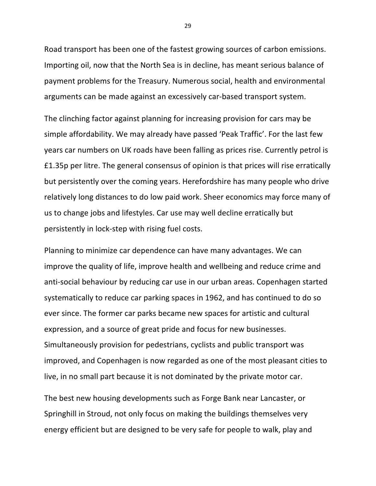Road transport has been one of the fastest growing sources of carbon emissions. Importing oil, now that the North Sea is in decline, has meant serious balance of payment problems for the Treasury. Numerous social, health and environmental arguments can be made against an excessively car-based transport system.

The clinching factor against planning for increasing provision for cars may be simple affordability. We may already have passed 'Peak Traffic'. For the last few years car numbers on UK roads have been falling as prices rise. Currently petrol is £1.35p per litre. The general consensus of opinion is that prices will rise erratically but persistently over the coming years. Herefordshire has many people who drive relatively long distances to do low paid work. Sheer economics may force many of us to change jobs and lifestyles. Car use may well decline erratically but persistently in lock-step with rising fuel costs.

Planning to minimize car dependence can have many advantages. We can improve the quality of life, improve health and wellbeing and reduce crime and anti-social behaviour by reducing car use in our urban areas. Copenhagen started systematically to reduce car parking spaces in 1962, and has continued to do so ever since. The former car parks became new spaces for artistic and cultural expression, and a source of great pride and focus for new businesses. Simultaneously provision for pedestrians, cyclists and public transport was improved, and Copenhagen is now regarded as one of the most pleasant cities to live, in no small part because it is not dominated by the private motor car.

The best new housing developments such as Forge Bank near Lancaster, or Springhill in Stroud, not only focus on making the buildings themselves very energy efficient but are designed to be very safe for people to walk, play and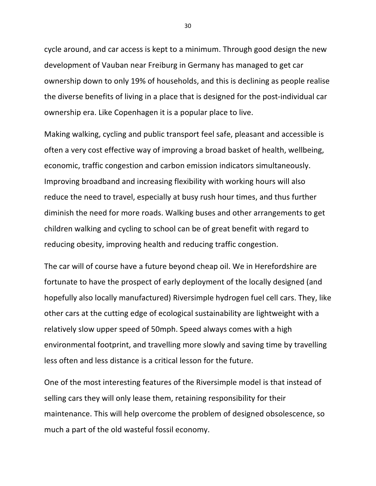cycle around, and car access is kept to a minimum. Through good design the new development of Vauban near Freiburg in Germany has managed to get car ownership down to only 19% of households, and this is declining as people realise the diverse benefits of living in a place that is designed for the post-individual car ownership era. Like Copenhagen it is a popular place to live.

Making walking, cycling and public transport feel safe, pleasant and accessible is often a very cost effective way of improving a broad basket of health, wellbeing, economic, traffic congestion and carbon emission indicators simultaneously. Improving broadband and increasing flexibility with working hours will also reduce the need to travel, especially at busy rush hour times, and thus further diminish the need for more roads. Walking buses and other arrangements to get children walking and cycling to school can be of great benefit with regard to reducing obesity, improving health and reducing traffic congestion.

The car will of course have a future beyond cheap oil. We in Herefordshire are fortunate to have the prospect of early deployment of the locally designed (and hopefully also locally manufactured) Riversimple hydrogen fuel cell cars. They, like other cars at the cutting edge of ecological sustainability are lightweight with a relatively slow upper speed of 50mph. Speed always comes with a high environmental footprint, and travelling more slowly and saving time by travelling less often and less distance is a critical lesson for the future.

One of the most interesting features of the Riversimple model is that instead of selling cars they will only lease them, retaining responsibility for their maintenance. This will help overcome the problem of designed obsolescence, so much a part of the old wasteful fossil economy.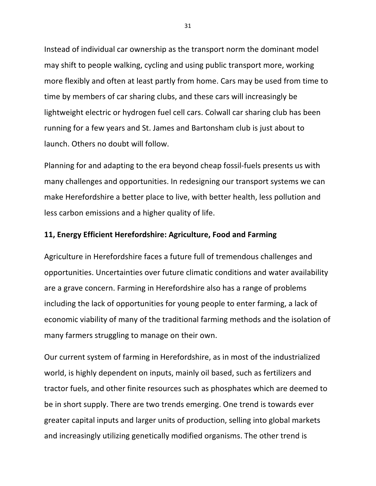Instead of individual car ownership as the transport norm the dominant model may shift to people walking, cycling and using public transport more, working more flexibly and often at least partly from home. Cars may be used from time to time by members of car sharing clubs, and these cars will increasingly be lightweight electric or hydrogen fuel cell cars. Colwall car sharing club has been running for a few years and St. James and Bartonsham club is just about to launch. Others no doubt will follow.

Planning for and adapting to the era beyond cheap fossil-fuels presents us with many challenges and opportunities. In redesigning our transport systems we can make Herefordshire a better place to live, with better health, less pollution and less carbon emissions and a higher quality of life.

# **11, Energy Efficient Herefordshire: Agriculture, Food and Farming**

Agriculture in Herefordshire faces a future full of tremendous challenges and opportunities. Uncertainties over future climatic conditions and water availability are a grave concern. Farming in Herefordshire also has a range of problems including the lack of opportunities for young people to enter farming, a lack of economic viability of many of the traditional farming methods and the isolation of many farmers struggling to manage on their own.

Our current system of farming in Herefordshire, as in most of the industrialized world, is highly dependent on inputs, mainly oil based, such as fertilizers and tractor fuels, and other finite resources such as phosphates which are deemed to be in short supply. There are two trends emerging. One trend is towards ever greater capital inputs and larger units of production, selling into global markets and increasingly utilizing genetically modified organisms. The other trend is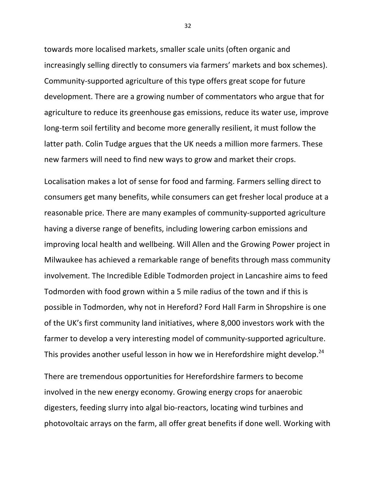towards more localised markets, smaller scale units (often organic and increasingly selling directly to consumers via farmers' markets and box schemes). Community-supported agriculture of this type offers great scope for future development. There are a growing number of commentators who argue that for agriculture to reduce its greenhouse gas emissions, reduce its water use, improve long-term soil fertility and become more generally resilient, it must follow the latter path. Colin Tudge argues that the UK needs a million more farmers. These new farmers will need to find new ways to grow and market their crops.

Localisation makes a lot of sense for food and farming. Farmers selling direct to consumers get many benefits, while consumers can get fresher local produce at a reasonable price. There are many examples of community-supported agriculture having a diverse range of benefits, including lowering carbon emissions and improving local health and wellbeing. Will Allen and the Growing Power project in Milwaukee has achieved a remarkable range of benefits through mass community involvement. The Incredible Edible Todmorden project in Lancashire aims to feed Todmorden with food grown within a 5 mile radius of the town and if this is possible in Todmorden, why not in Hereford? Ford Hall Farm in Shropshire is one of the UK's first community land initiatives, where 8,000 investors work with the farmer to develop a very interesting model of community-supported agriculture. This provides another useful lesson in how we in Herefordshire might develop.<sup>24</sup>

There are tremendous opportunities for Herefordshire farmers to become involved in the new energy economy. Growing energy crops for anaerobic digesters, feeding slurry into algal bio-reactors, locating wind turbines and photovoltaic arrays on the farm, all offer great benefits if done well. Working with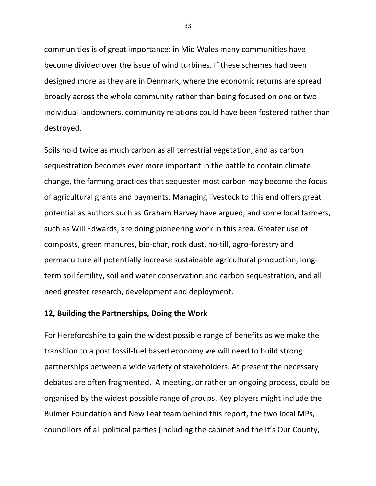communities is of great importance: in Mid Wales many communities have become divided over the issue of wind turbines. If these schemes had been designed more as they are in Denmark, where the economic returns are spread broadly across the whole community rather than being focused on one or two individual landowners, community relations could have been fostered rather than destroyed.

Soils hold twice as much carbon as all terrestrial vegetation, and as carbon sequestration becomes ever more important in the battle to contain climate change, the farming practices that sequester most carbon may become the focus of agricultural grants and payments. Managing livestock to this end offers great potential as authors such as Graham Harvey have argued, and some local farmers, such as Will Edwards, are doing pioneering work in this area. Greater use of composts, green manures, bio-char, rock dust, no-till, agro-forestry and permaculture all potentially increase sustainable agricultural production, longterm soil fertility, soil and water conservation and carbon sequestration, and all need greater research, development and deployment.

#### **12, Building the Partnerships, Doing the Work**

For Herefordshire to gain the widest possible range of benefits as we make the transition to a post fossil-fuel based economy we will need to build strong partnerships between a wide variety of stakeholders. At present the necessary debates are often fragmented. A meeting, or rather an ongoing process, could be organised by the widest possible range of groups. Key players might include the Bulmer Foundation and New Leaf team behind this report, the two local MPs, councillors of all political parties (including the cabinet and the It's Our County,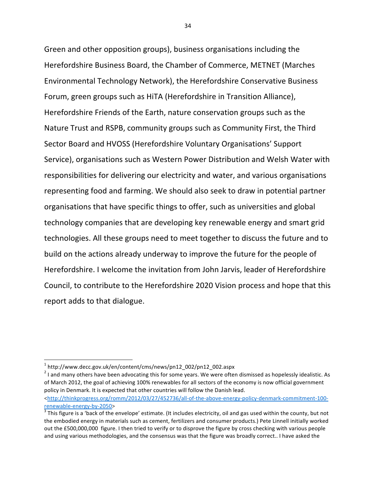Green and other opposition groups), business organisations including the Herefordshire Business Board, the Chamber of Commerce, METNET (Marches Environmental Technology Network), the Herefordshire Conservative Business Forum, green groups such as HITA (Herefordshire in Transition Alliance), Herefordshire Friends of the Earth, nature conservation groups such as the Nature Trust and RSPB, community groups such as Community First, the Third Sector Board and HVOSS (Herefordshire Voluntary Organisations' Support Service), organisations such as Western Power Distribution and Welsh Water with responsibilities for delivering our electricity and water, and various organisations representing food and farming. We should also seek to draw in potential partner organisations that have specific things to offer, such as universities and global technology companies that are developing key renewable energy and smart grid technologies. All these groups need to meet together to discuss the future and to build on the actions already underway to improve the future for the people of Herefordshire. I welcome the invitation from John Jarvis, leader of Herefordshire Council, to contribute to the Herefordshire 2020 Vision process and hope that this report adds to that dialogue.

<u> 1989 - Johann Stein, fransk politik (d. 1989)</u>

 $^2$  I and many others have been advocating this for some years. We were often dismissed as hopelessly idealistic. As of March 2012, the goal of achieving 100% renewables for all sectors of the economy is now official government policy in Denmark. It is expected that other countries will follow the Danish lead. <http://thinkprogress.org/romm/2012/03/27/452736/all-of-the-above-energy-policy-denmark-commitment-100 renewable-energy-by-2050> <sup>3</sup>

<sup>1</sup> http://www.decc.gov.uk/en/content/cms/news/pn12\_002/pn12\_002.aspx

 $3$  This figure is a 'back of the envelope' estimate. (It includes electricity, oil and gas used within the county, but not the embodied energy in materials such as cement, fertilizers and consumer products.) Pete Linnell initially worked out the £500,000,000 figure. I then tried to verify or to disprove the figure by cross checking with various people and using various methodologies, and the consensus was that the figure was broadly correct.. I have asked the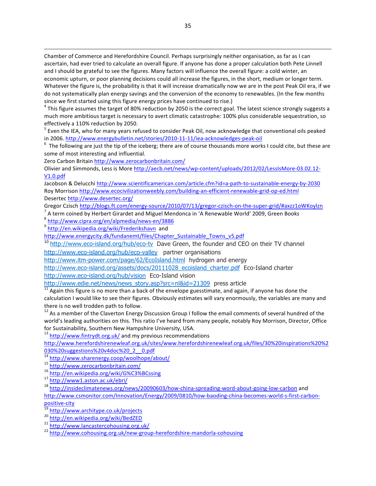Chamber of Commerce and Herefordshire Council. Perhaps surprisingly neither organisation, as far as I can ascertain, had ever tried to calculate an overall figure. If anyone has done a proper calculation both Pete Linnell and I should be grateful to see the figures. Many factors will influence the overall figure: a cold winter, an economic upturn, or poor planning decisions could all increase the figures, in the short, medium or longer term. Whatever the figure is, the probability is that it will increase dramatically now we are in the post Peak Oil era, if we do not systematically plan energy savings and the conversion of the economy to renewables. (In the few months since we first started using this figure energy prices have continued to rise.)

 $4$  This figure assumes the target of 80% reduction by 2050 is the correct goal. The latest science strongly suggests a much more ambitious target is necessary to avert climatic catastrophe: 100% plus considerable sequestration, so effectively a 110% reduction by 2050.

 $^5$  Even the IEA, who for many years refused to consider Peak Oil, now acknowledge that conventional oils peaked in 2006. http://www.energybulletin.net/stories/2010-11-11/iea-acknowledges-peak-oil

 $6$  The following are just the tip of the iceberg; there are of course thousands more works I could cite, but these are some of most interesting and influential.

Zero Carbon Britain http://www.zerocarbonbritain.com/

Olivier and Simmonds, Less is More http://aecb.net/news/wp-content/uploads/2012/02/LessIsMore-03.02.12-V1.0.pdf

Jacobson & Delucchi http://www.scientificamerican.com/article.cfm?id=a-path-to-sustainable-energy-by-2030 Roy Morrison http://www.ecocivilizationweebly.com/building-an-efficient-renewable-grid-op-ed.html Desertec http://www.desertec.org/

Gregor Czisch http://blogs.ft.com/energy-source/2010/07/13/gregor-czisch-on-the-super-grid/#axzz1oWKoylzn <sup>7</sup> A term coined by Herbert Girardet and Miguel Mendonca in 'A Renewable World' 2009, Green Books

a<br>
Antericoncanomic mental mental media (news-en/3886<br>
a http://en.wikipedia.org/wiki/Frederikshavna and

http://www.energycity.dk/fundanemt/files/Chapter\_Sustainable\_Towns\_v5.pdf

<sup>10</sup> http://www.eco-island.org/hub/eco-tv Dave Green, the founder and CEO on their TV channel http://www.eco-island.org/hub/eco-valley partner organisations

http://www.itm-power.com/page/62/EcoIsland.html hydrogen and energy

http://www.eco-island.org/assets/docs/20111028\_ecoisland\_charter.pdf Eco-Island charter

http://www.eco-island.org/hub/vision Eco-Island vision

http://www.edie.net/news/news\_story.asp?src=nl&id=21309 press article  $\frac{11}{11}$  Again this figure is no more than a back of the envelope guesstimate, and again, if anyone has done the

calculation I would like to see their figures. Obviously estimates will vary enormously, the variables are many and there is no well trodden path to follow.

 $12$  As a member of the Claverton Energy Discussion Group I follow the email comments of several hundred of the world's leading authorities on this. This ratio I've heard from many people, notably Roy Morrison, Director, Office for Sustainability, Southern New Hampshire University, USA.<br><sup>13</sup> http://www.fintrydt.org.uk/ and my previous recommendations

http://www.herefordshirenewleaf.org.uk/sites/www.herefordshirenewleaf.org.uk/files/30%20inspirations%20%2 030%20suggestions%20v4doc%20\_2\_\_0.pdf<br><sup>14</sup> http://www.sharenergy.coop/woolhope/about/

<sup>15</sup><br>http://www.zerocarbonbritain.com/<br><sup>16</sup> http://en.wikipedia.org/wiki/G%C3%BCssing<br><sup>17</sup> http://www1.aston.ac.uk/ebri/<br><sup>18</sup> http://insideclimatenews.org/news/20090603/how-china-spreading-word-about-going-low-carbon and http://www.csmonitor.com/Innovation/Energy/2009/0810/how-baoding-china-becomes-world-s-first-carbonpositive-city<br>
<sup>19</sup> http://www.architype.co.uk/projects<br>
<sup>20</sup> http://en.wikipedia.org/wiki/BedZED<br>
<sup>21</sup> http://www.lancastercohousing.org.uk/<br>
<sup>22</sup> http://www.cohousing.org.uk/new-group-herefordshire-mandorla-cohousing

<u> 1989 - Andrea Andrew Maria a San Andrew Maria a San Andrew Maria a San Andrew Maria a San Andrew Maria a San </u>